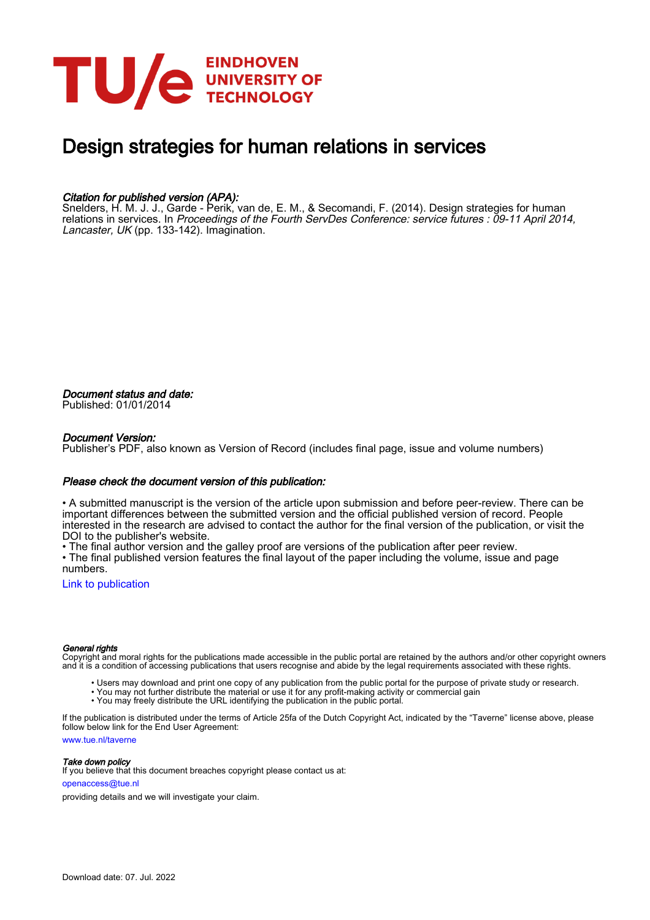

# Design strategies for human relations in services

#### Citation for published version (APA):

Snelders, H. M. J. J., Garde - Perik, van de, E. M., & Secomandi, F. (2014). Design strategies for human relations in services. In Proceedings of the Fourth ServDes Conference: service futures : 09-11 April 2014, Lancaster, UK (pp. 133-142). Imagination.

Document status and date: Published: 01/01/2014

#### Document Version:

Publisher's PDF, also known as Version of Record (includes final page, issue and volume numbers)

#### Please check the document version of this publication:

• A submitted manuscript is the version of the article upon submission and before peer-review. There can be important differences between the submitted version and the official published version of record. People interested in the research are advised to contact the author for the final version of the publication, or visit the DOI to the publisher's website.

• The final author version and the galley proof are versions of the publication after peer review.

• The final published version features the final layout of the paper including the volume, issue and page numbers.

[Link to publication](https://research.tue.nl/en/publications/1bd8ecc9-465c-4b5e-b7be-a88f468d70a1)

#### General rights

Copyright and moral rights for the publications made accessible in the public portal are retained by the authors and/or other copyright owners and it is a condition of accessing publications that users recognise and abide by the legal requirements associated with these rights.

- Users may download and print one copy of any publication from the public portal for the purpose of private study or research.
- You may not further distribute the material or use it for any profit-making activity or commercial gain
- You may freely distribute the URL identifying the publication in the public portal.

If the publication is distributed under the terms of Article 25fa of the Dutch Copyright Act, indicated by the "Taverne" license above, please follow below link for the End User Agreement:

www.tue.nl/taverne

**Take down policy**<br>If you believe that this document breaches copyright please contact us at:

openaccess@tue.nl

providing details and we will investigate your claim.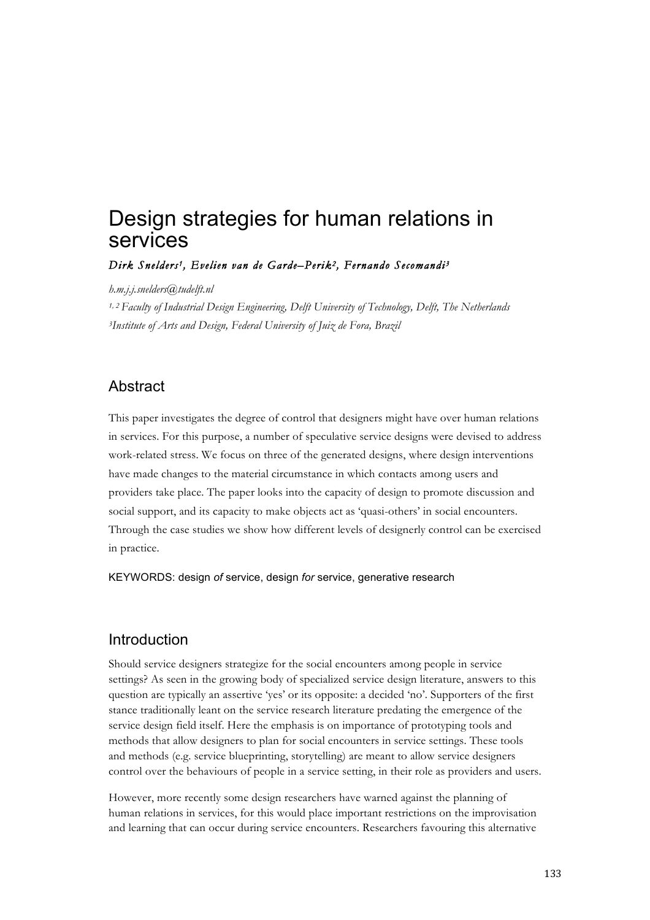# Design strategies for human relations in services

*Dirk Snelders 1, Evelien van de Garde–Perik2, Fernando Secomandi <sup>3</sup>*

*h.m.j.j.snelders@tudelft.nl*

*1, 2 Faculty of Industrial Design Engineering, Delft University of Technology, Delft, The Netherlands 3Institute of Arts and Design, Federal University of Juiz de Fora, Brazil*

#### Abstract

This paper investigates the degree of control that designers might have over human relations in services. For this purpose, a number of speculative service designs were devised to address work-related stress. We focus on three of the generated designs, where design interventions have made changes to the material circumstance in which contacts among users and providers take place. The paper looks into the capacity of design to promote discussion and social support, and its capacity to make objects act as 'quasi-others' in social encounters. Through the case studies we show how different levels of designerly control can be exercised in practice.

KEYWORDS: design *of* service, design *for* service, generative research

#### Introduction

Should service designers strategize for the social encounters among people in service settings? As seen in the growing body of specialized service design literature, answers to this question are typically an assertive 'yes' or its opposite: a decided 'no'. Supporters of the first stance traditionally leant on the service research literature predating the emergence of the service design field itself. Here the emphasis is on importance of prototyping tools and methods that allow designers to plan for social encounters in service settings. These tools and methods (e.g. service blueprinting, storytelling) are meant to allow service designers control over the behaviours of people in a service setting, in their role as providers and users.

However, more recently some design researchers have warned against the planning of human relations in services, for this would place important restrictions on the improvisation and learning that can occur during service encounters. Researchers favouring this alternative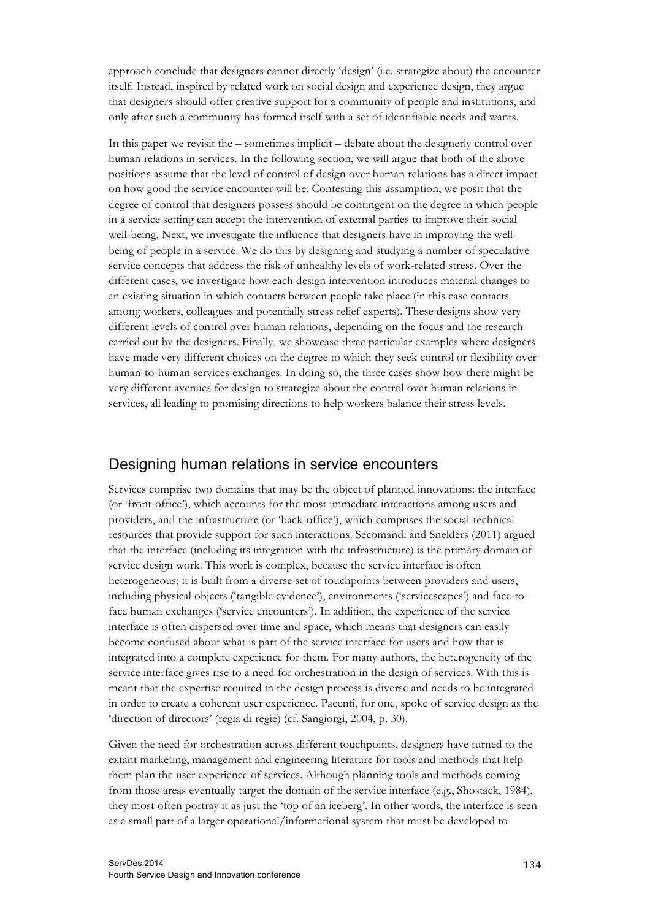approach conclude that designers cannot directly 'design' (i.e. strategize about) the encounter itself. Instead, inspired by related work on social design and experience design, they argue that designers should offer creative support for a community of people and institutions, and only after such a community has formed itself with a set of identifiable needs and wants.

In this paper we revisit the – sometimes implicit – debate about the designerly control over human relations in services. In the following section, we will argue that both of the above positions assume that the level of control of design over human relations has a direct impact on how good the service encounter will be. Contesting this assumption, we posit that the degree of control that designers possess should be contingent on the degree in which people in a service setting can accept the intervention of external parties to improve their social well-being. Next, we investigate the influence that designers have in improving the wellbeing of people in a service. We do this by designing and studying a number of speculative service concepts that address the risk of unhealthy levels of work-related stress. Over the different cases, we investigate how each design intervention introduces material changes to an existing situation in which contacts between people take place (in this case contacts among workers, colleagues and potentially stress relief experts). These designs show very different levels of control over human relations, depending on the focus and the research carried out by the designers. Finally, we showcase three particular examples where designers have made very different choices on the degree to which they seek control or flexibility over human-to-human services exchanges. In doing so, the three cases show how there might be very different avenues for design to strategize about the control over human relations in services, all leading to promising directions to help workers balance their stress levels.

## Designing human relations in service encounters

Services comprise two domains that may be the object of planned innovations: the interface (or 'front-office'), which accounts for the most immediate interactions among users and providers, and the infrastructure (or 'back-office'), which comprises the social-technical resources that provide support for such interactions. Secomandi and Snelders (2011) argued that the interface (including its integration with the infrastructure) is the primary domain of service design work. This work is complex, because the service interface is often heterogeneous; it is built from a diverse set of touchpoints between providers and users, including physical objects ('tangible evidence'), environments ('servicescapes') and face-toface human exchanges ('service encounters'). In addition, the experience of the service interface is often dispersed over time and space, which means that designers can easily become confused about what is part of the service interface for users and how that is integrated into a complete experience for them. For many authors, the heterogeneity of the service interface gives rise to a need for orchestration in the design of services. With this is meant that the expertise required in the design process is diverse and needs to be integrated in order to create a coherent user experience. Pacenti, for one, spoke of service design as the 'direction of directors' (regia di regie) (cf. Sangiorgi, 2004, p. 30).

Given the need for orchestration across different touchpoints, designers have turned to the extant marketing, management and engineering literature for tools and methods that help them plan the user experience of services. Although planning tools and methods coming from those areas eventually target the domain of the service interface (e.g., Shostack, 1984), they most often portray it as just the 'top of an iceberg'. In other words, the interface is seen as a small part of a larger operational/informational system that must be developed to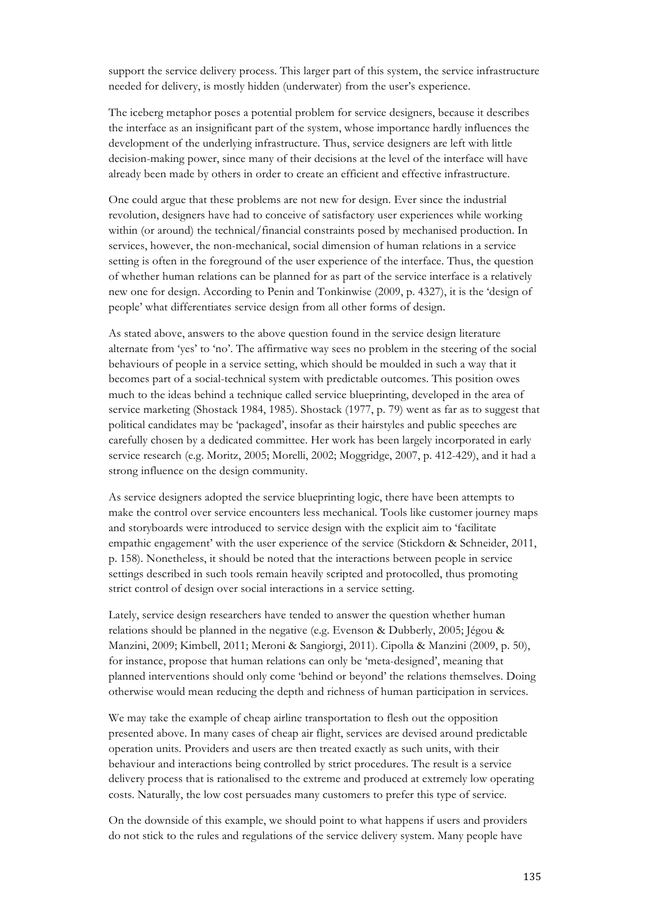support the service delivery process. This larger part of this system, the service infrastructure needed for delivery, is mostly hidden (underwater) from the user's experience.

The iceberg metaphor poses a potential problem for service designers, because it describes the interface as an insignificant part of the system, whose importance hardly influences the development of the underlying infrastructure. Thus, service designers are left with little decision-making power, since many of their decisions at the level of the interface will have already been made by others in order to create an efficient and effective infrastructure.

One could argue that these problems are not new for design. Ever since the industrial revolution, designers have had to conceive of satisfactory user experiences while working within (or around) the technical/financial constraints posed by mechanised production. In services, however, the non-mechanical, social dimension of human relations in a service setting is often in the foreground of the user experience of the interface. Thus, the question of whether human relations can be planned for as part of the service interface is a relatively new one for design. According to Penin and Tonkinwise (2009, p. 4327), it is the 'design of people' what differentiates service design from all other forms of design.

As stated above, answers to the above question found in the service design literature alternate from 'yes' to 'no'. The affirmative way sees no problem in the steering of the social behaviours of people in a service setting, which should be moulded in such a way that it becomes part of a social-technical system with predictable outcomes. This position owes much to the ideas behind a technique called service blueprinting, developed in the area of service marketing (Shostack 1984, 1985). Shostack (1977, p. 79) went as far as to suggest that political candidates may be 'packaged', insofar as their hairstyles and public speeches are carefully chosen by a dedicated committee. Her work has been largely incorporated in early service research (e.g. Moritz, 2005; Morelli, 2002; Moggridge, 2007, p. 412-429), and it had a strong influence on the design community.

As service designers adopted the service blueprinting logic, there have been attempts to make the control over service encounters less mechanical. Tools like customer journey maps and storyboards were introduced to service design with the explicit aim to 'facilitate empathic engagement' with the user experience of the service (Stickdorn & Schneider, 2011, p. 158). Nonetheless, it should be noted that the interactions between people in service settings described in such tools remain heavily scripted and protocolled, thus promoting strict control of design over social interactions in a service setting.

Lately, service design researchers have tended to answer the question whether human relations should be planned in the negative (e.g. Evenson & Dubberly, 2005; Jégou & Manzini, 2009; Kimbell, 2011; Meroni & Sangiorgi, 2011). Cipolla & Manzini (2009, p. 50), for instance, propose that human relations can only be 'meta-designed', meaning that planned interventions should only come 'behind or beyond' the relations themselves. Doing otherwise would mean reducing the depth and richness of human participation in services.

We may take the example of cheap airline transportation to flesh out the opposition presented above. In many cases of cheap air flight, services are devised around predictable operation units. Providers and users are then treated exactly as such units, with their behaviour and interactions being controlled by strict procedures. The result is a service delivery process that is rationalised to the extreme and produced at extremely low operating costs. Naturally, the low cost persuades many customers to prefer this type of service.

On the downside of this example, we should point to what happens if users and providers do not stick to the rules and regulations of the service delivery system. Many people have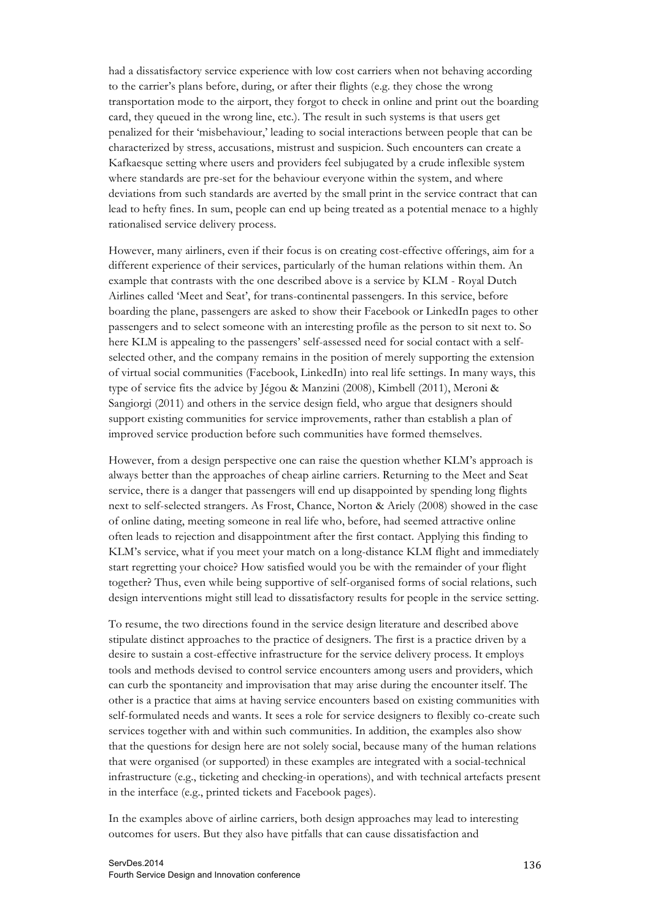had a dissatisfactory service experience with low cost carriers when not behaving according to the carrier's plans before, during, or after their flights (e.g. they chose the wrong transportation mode to the airport, they forgot to check in online and print out the boarding card, they queued in the wrong line, etc.). The result in such systems is that users get penalized for their 'misbehaviour,' leading to social interactions between people that can be characterized by stress, accusations, mistrust and suspicion. Such encounters can create a Kafkaesque setting where users and providers feel subjugated by a crude inflexible system where standards are pre-set for the behaviour everyone within the system, and where deviations from such standards are averted by the small print in the service contract that can lead to hefty fines. In sum, people can end up being treated as a potential menace to a highly rationalised service delivery process.

However, many airliners, even if their focus is on creating cost-effective offerings, aim for a different experience of their services, particularly of the human relations within them. An example that contrasts with the one described above is a service by KLM - Royal Dutch Airlines called 'Meet and Seat', for trans-continental passengers. In this service, before boarding the plane, passengers are asked to show their Facebook or LinkedIn pages to other passengers and to select someone with an interesting profile as the person to sit next to. So here KLM is appealing to the passengers' self-assessed need for social contact with a selfselected other, and the company remains in the position of merely supporting the extension of virtual social communities (Facebook, LinkedIn) into real life settings. In many ways, this type of service fits the advice by Jégou & Manzini (2008), Kimbell (2011), Meroni & Sangiorgi (2011) and others in the service design field, who argue that designers should support existing communities for service improvements, rather than establish a plan of improved service production before such communities have formed themselves.

However, from a design perspective one can raise the question whether KLM's approach is always better than the approaches of cheap airline carriers. Returning to the Meet and Seat service, there is a danger that passengers will end up disappointed by spending long flights next to self-selected strangers. As Frost, Chance, Norton & Ariely (2008) showed in the case of online dating, meeting someone in real life who, before, had seemed attractive online often leads to rejection and disappointment after the first contact. Applying this finding to KLM's service, what if you meet your match on a long-distance KLM flight and immediately start regretting your choice? How satisfied would you be with the remainder of your flight together? Thus, even while being supportive of self-organised forms of social relations, such design interventions might still lead to dissatisfactory results for people in the service setting.

To resume, the two directions found in the service design literature and described above stipulate distinct approaches to the practice of designers. The first is a practice driven by a desire to sustain a cost-effective infrastructure for the service delivery process. It employs tools and methods devised to control service encounters among users and providers, which can curb the spontaneity and improvisation that may arise during the encounter itself. The other is a practice that aims at having service encounters based on existing communities with self-formulated needs and wants. It sees a role for service designers to flexibly co-create such services together with and within such communities. In addition, the examples also show that the questions for design here are not solely social, because many of the human relations that were organised (or supported) in these examples are integrated with a social-technical infrastructure (e.g., ticketing and checking-in operations), and with technical artefacts present in the interface (e.g., printed tickets and Facebook pages).

In the examples above of airline carriers, both design approaches may lead to interesting outcomes for users. But they also have pitfalls that can cause dissatisfaction and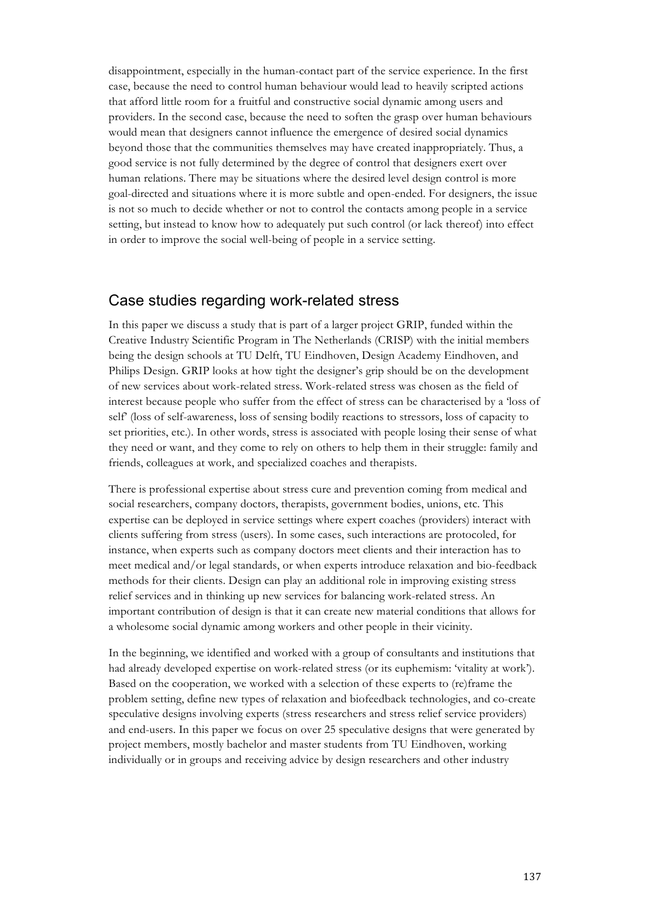disappointment, especially in the human-contact part of the service experience. In the first case, because the need to control human behaviour would lead to heavily scripted actions that afford little room for a fruitful and constructive social dynamic among users and providers. In the second case, because the need to soften the grasp over human behaviours would mean that designers cannot influence the emergence of desired social dynamics beyond those that the communities themselves may have created inappropriately. Thus, a good service is not fully determined by the degree of control that designers exert over human relations. There may be situations where the desired level design control is more goal-directed and situations where it is more subtle and open-ended. For designers, the issue is not so much to decide whether or not to control the contacts among people in a service setting, but instead to know how to adequately put such control (or lack thereof) into effect in order to improve the social well-being of people in a service setting.

#### Case studies regarding work-related stress

In this paper we discuss a study that is part of a larger project GRIP, funded within the Creative Industry Scientific Program in The Netherlands (CRISP) with the initial members being the design schools at TU Delft, TU Eindhoven, Design Academy Eindhoven, and Philips Design. GRIP looks at how tight the designer's grip should be on the development of new services about work-related stress. Work-related stress was chosen as the field of interest because people who suffer from the effect of stress can be characterised by a 'loss of self' (loss of self-awareness, loss of sensing bodily reactions to stressors, loss of capacity to set priorities, etc.). In other words, stress is associated with people losing their sense of what they need or want, and they come to rely on others to help them in their struggle: family and friends, colleagues at work, and specialized coaches and therapists.

There is professional expertise about stress cure and prevention coming from medical and social researchers, company doctors, therapists, government bodies, unions, etc. This expertise can be deployed in service settings where expert coaches (providers) interact with clients suffering from stress (users). In some cases, such interactions are protocoled, for instance, when experts such as company doctors meet clients and their interaction has to meet medical and/or legal standards, or when experts introduce relaxation and bio-feedback methods for their clients. Design can play an additional role in improving existing stress relief services and in thinking up new services for balancing work-related stress. An important contribution of design is that it can create new material conditions that allows for a wholesome social dynamic among workers and other people in their vicinity.

In the beginning, we identified and worked with a group of consultants and institutions that had already developed expertise on work-related stress (or its euphemism: 'vitality at work'). Based on the cooperation, we worked with a selection of these experts to (re)frame the problem setting, define new types of relaxation and biofeedback technologies, and co-create speculative designs involving experts (stress researchers and stress relief service providers) and end-users. In this paper we focus on over 25 speculative designs that were generated by project members, mostly bachelor and master students from TU Eindhoven, working individually or in groups and receiving advice by design researchers and other industry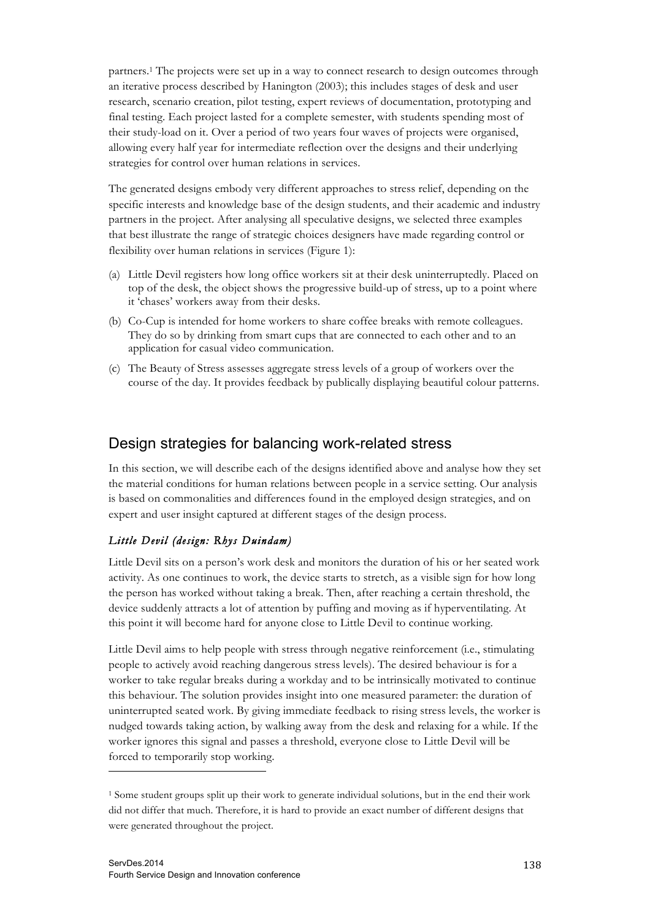partners.1 The projects were set up in a way to connect research to design outcomes through an iterative process described by Hanington (2003); this includes stages of desk and user research, scenario creation, pilot testing, expert reviews of documentation, prototyping and final testing. Each project lasted for a complete semester, with students spending most of their study-load on it. Over a period of two years four waves of projects were organised, allowing every half year for intermediate reflection over the designs and their underlying strategies for control over human relations in services.

The generated designs embody very different approaches to stress relief, depending on the specific interests and knowledge base of the design students, and their academic and industry partners in the project. After analysing all speculative designs, we selected three examples that best illustrate the range of strategic choices designers have made regarding control or flexibility over human relations in services (Figure 1):

- (a) Little Devil registers how long office workers sit at their desk uninterruptedly. Placed on top of the desk, the object shows the progressive build-up of stress, up to a point where it 'chases' workers away from their desks.
- (b) Co-Cup is intended for home workers to share coffee breaks with remote colleagues. They do so by drinking from smart cups that are connected to each other and to an application for casual video communication.
- (c) The Beauty of Stress assesses aggregate stress levels of a group of workers over the course of the day. It provides feedback by publically displaying beautiful colour patterns.

# Design strategies for balancing work-related stress

In this section, we will describe each of the designs identified above and analyse how they set the material conditions for human relations between people in a service setting. Our analysis is based on commonalities and differences found in the employed design strategies, and on expert and user insight captured at different stages of the design process.

#### *Little Devil (design: Rhys Duindam)*

Little Devil sits on a person's work desk and monitors the duration of his or her seated work activity. As one continues to work, the device starts to stretch, as a visible sign for how long the person has worked without taking a break. Then, after reaching a certain threshold, the device suddenly attracts a lot of attention by puffing and moving as if hyperventilating. At this point it will become hard for anyone close to Little Devil to continue working.

Little Devil aims to help people with stress through negative reinforcement (i.e., stimulating people to actively avoid reaching dangerous stress levels). The desired behaviour is for a worker to take regular breaks during a workday and to be intrinsically motivated to continue this behaviour. The solution provides insight into one measured parameter: the duration of uninterrupted seated work. By giving immediate feedback to rising stress levels, the worker is nudged towards taking action, by walking away from the desk and relaxing for a while. If the worker ignores this signal and passes a threshold, everyone close to Little Devil will be forced to temporarily stop working.

 $\overline{a}$ 

<sup>1</sup> Some student groups split up their work to generate individual solutions, but in the end their work did not differ that much. Therefore, it is hard to provide an exact number of different designs that were generated throughout the project.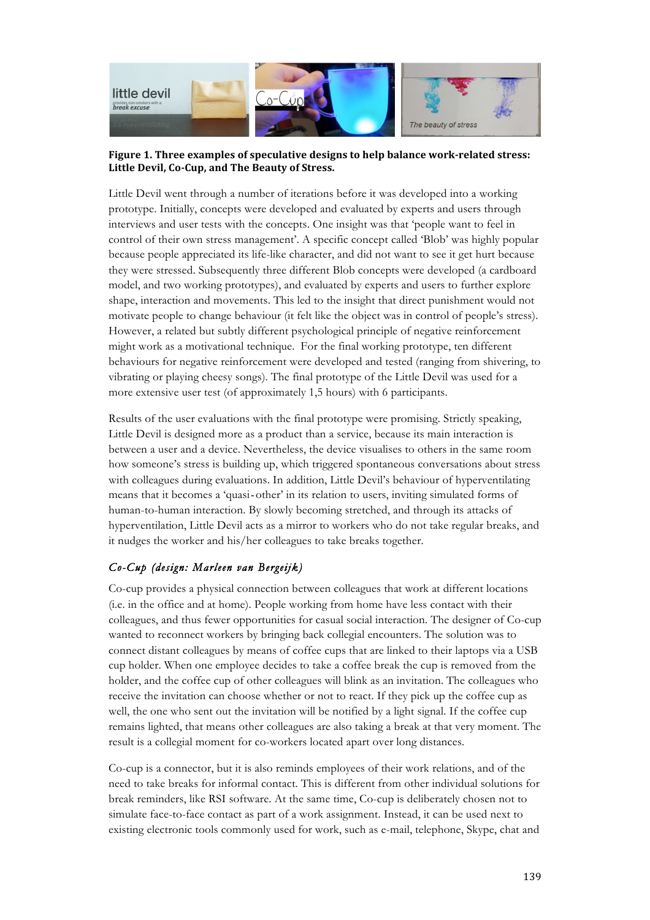

#### Figure 1. Three examples of speculative designs to help balance work-related stress: Little Devil, Co-Cup, and The Beauty of Stress.

Little Devil went through a number of iterations before it was developed into a working prototype. Initially, concepts were developed and evaluated by experts and users through interviews and user tests with the concepts. One insight was that 'people want to feel in control of their own stress management'. A specific concept called 'Blob' was highly popular because people appreciated its life-like character, and did not want to see it get hurt because they were stressed. Subsequently three different Blob concepts were developed (a cardboard model, and two working prototypes), and evaluated by experts and users to further explore shape, interaction and movements. This led to the insight that direct punishment would not motivate people to change behaviour (it felt like the object was in control of people's stress). However, a related but subtly different psychological principle of negative reinforcement might work as a motivational technique. For the final working prototype, ten different behaviours for negative reinforcement were developed and tested (ranging from shivering, to vibrating or playing cheesy songs). The final prototype of the Little Devil was used for a more extensive user test (of approximately 1,5 hours) with 6 participants.

Results of the user evaluations with the final prototype were promising. Strictly speaking, Little Devil is designed more as a product than a service, because its main interaction is between a user and a device. Nevertheless, the device visualises to others in the same room how someone's stress is building up, which triggered spontaneous conversations about stress with colleagues during evaluations. In addition, Little Devil's behaviour of hyperventilating means that it becomes a 'quasi-other' in its relation to users, inviting simulated forms of human-to-human interaction. By slowly becoming stretched, and through its attacks of hyperventilation, Little Devil acts as a mirror to workers who do not take regular breaks, and it nudges the worker and his/her colleagues to take breaks together.

## *Co-Cup (design: Marleen van Bergeijk)*

Co-cup provides a physical connection between colleagues that work at different locations (i.e. in the office and at home). People working from home have less contact with their colleagues, and thus fewer opportunities for casual social interaction. The designer of Co-cup wanted to reconnect workers by bringing back collegial encounters. The solution was to connect distant colleagues by means of coffee cups that are linked to their laptops via a USB cup holder. When one employee decides to take a coffee break the cup is removed from the holder, and the coffee cup of other colleagues will blink as an invitation. The colleagues who receive the invitation can choose whether or not to react. If they pick up the coffee cup as well, the one who sent out the invitation will be notified by a light signal. If the coffee cup remains lighted, that means other colleagues are also taking a break at that very moment. The result is a collegial moment for co-workers located apart over long distances.

Co-cup is a connector, but it is also reminds employees of their work relations, and of the need to take breaks for informal contact. This is different from other individual solutions for break reminders, like RSI software. At the same time, Co-cup is deliberately chosen not to simulate face-to-face contact as part of a work assignment. Instead, it can be used next to existing electronic tools commonly used for work, such as e-mail, telephone, Skype, chat and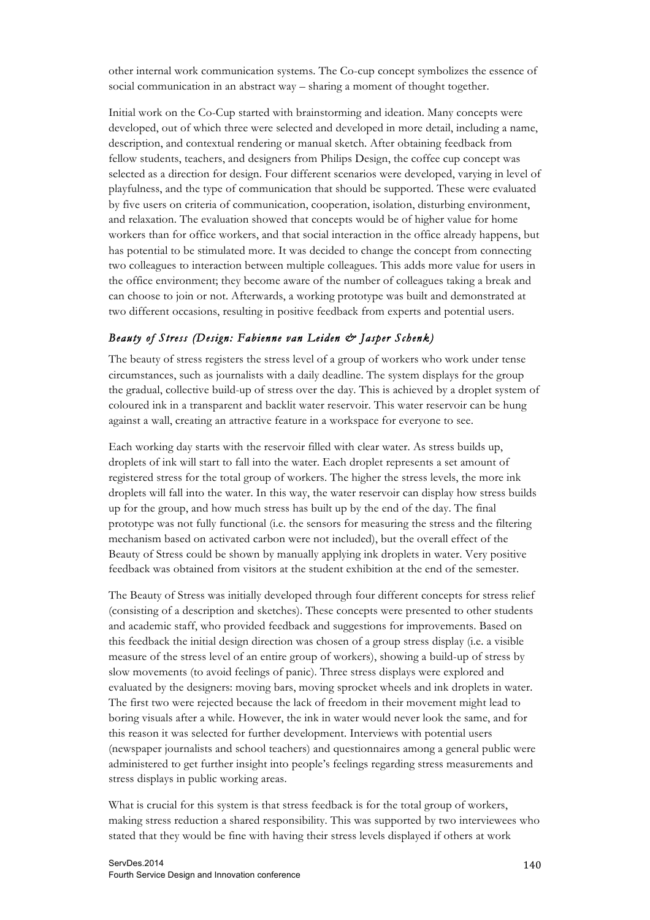other internal work communication systems. The Co-cup concept symbolizes the essence of social communication in an abstract way – sharing a moment of thought together.

Initial work on the Co-Cup started with brainstorming and ideation. Many concepts were developed, out of which three were selected and developed in more detail, including a name, description, and contextual rendering or manual sketch. After obtaining feedback from fellow students, teachers, and designers from Philips Design, the coffee cup concept was selected as a direction for design. Four different scenarios were developed, varying in level of playfulness, and the type of communication that should be supported. These were evaluated by five users on criteria of communication, cooperation, isolation, disturbing environment, and relaxation. The evaluation showed that concepts would be of higher value for home workers than for office workers, and that social interaction in the office already happens, but has potential to be stimulated more. It was decided to change the concept from connecting two colleagues to interaction between multiple colleagues. This adds more value for users in the office environment; they become aware of the number of colleagues taking a break and can choose to join or not. Afterwards, a working prototype was built and demonstrated at two different occasions, resulting in positive feedback from experts and potential users.

#### *Beauty of Stress (Design: Fabienne van Leiden & Jasper Schenk)*

The beauty of stress registers the stress level of a group of workers who work under tense circumstances, such as journalists with a daily deadline. The system displays for the group the gradual, collective build-up of stress over the day. This is achieved by a droplet system of coloured ink in a transparent and backlit water reservoir. This water reservoir can be hung against a wall, creating an attractive feature in a workspace for everyone to see.

Each working day starts with the reservoir filled with clear water. As stress builds up, droplets of ink will start to fall into the water. Each droplet represents a set amount of registered stress for the total group of workers. The higher the stress levels, the more ink droplets will fall into the water. In this way, the water reservoir can display how stress builds up for the group, and how much stress has built up by the end of the day. The final prototype was not fully functional (i.e. the sensors for measuring the stress and the filtering mechanism based on activated carbon were not included), but the overall effect of the Beauty of Stress could be shown by manually applying ink droplets in water. Very positive feedback was obtained from visitors at the student exhibition at the end of the semester.

The Beauty of Stress was initially developed through four different concepts for stress relief (consisting of a description and sketches). These concepts were presented to other students and academic staff, who provided feedback and suggestions for improvements. Based on this feedback the initial design direction was chosen of a group stress display (i.e. a visible measure of the stress level of an entire group of workers), showing a build-up of stress by slow movements (to avoid feelings of panic). Three stress displays were explored and evaluated by the designers: moving bars, moving sprocket wheels and ink droplets in water. The first two were rejected because the lack of freedom in their movement might lead to boring visuals after a while. However, the ink in water would never look the same, and for this reason it was selected for further development. Interviews with potential users (newspaper journalists and school teachers) and questionnaires among a general public were administered to get further insight into people's feelings regarding stress measurements and stress displays in public working areas.

What is crucial for this system is that stress feedback is for the total group of workers, making stress reduction a shared responsibility. This was supported by two interviewees who stated that they would be fine with having their stress levels displayed if others at work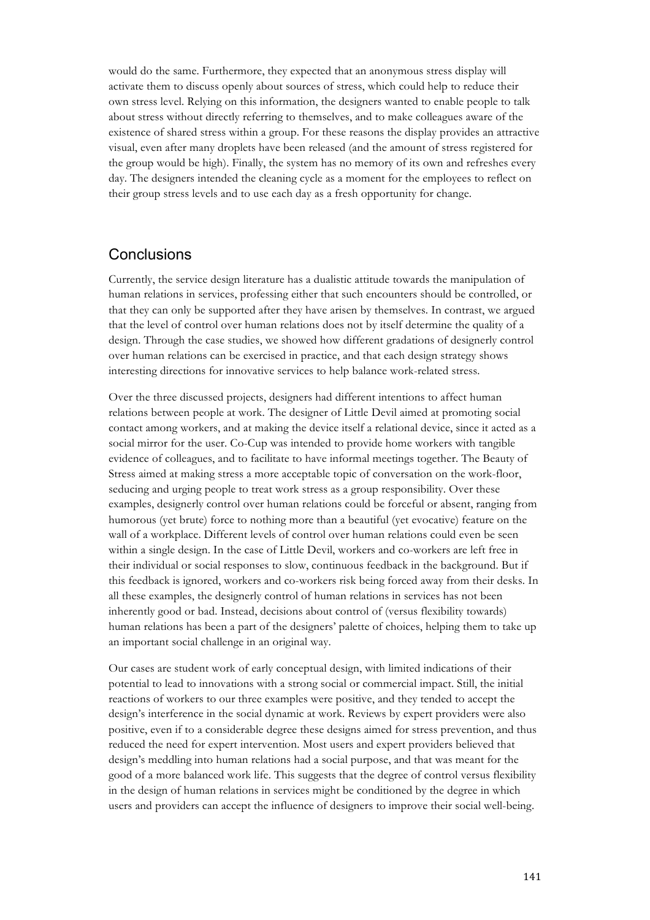would do the same. Furthermore, they expected that an anonymous stress display will activate them to discuss openly about sources of stress, which could help to reduce their own stress level. Relying on this information, the designers wanted to enable people to talk about stress without directly referring to themselves, and to make colleagues aware of the existence of shared stress within a group. For these reasons the display provides an attractive visual, even after many droplets have been released (and the amount of stress registered for the group would be high). Finally, the system has no memory of its own and refreshes every day. The designers intended the cleaning cycle as a moment for the employees to reflect on their group stress levels and to use each day as a fresh opportunity for change.

# Conclusions

Currently, the service design literature has a dualistic attitude towards the manipulation of human relations in services, professing either that such encounters should be controlled, or that they can only be supported after they have arisen by themselves. In contrast, we argued that the level of control over human relations does not by itself determine the quality of a design. Through the case studies, we showed how different gradations of designerly control over human relations can be exercised in practice, and that each design strategy shows interesting directions for innovative services to help balance work-related stress.

Over the three discussed projects, designers had different intentions to affect human relations between people at work. The designer of Little Devil aimed at promoting social contact among workers, and at making the device itself a relational device, since it acted as a social mirror for the user. Co-Cup was intended to provide home workers with tangible evidence of colleagues, and to facilitate to have informal meetings together. The Beauty of Stress aimed at making stress a more acceptable topic of conversation on the work-floor, seducing and urging people to treat work stress as a group responsibility. Over these examples, designerly control over human relations could be forceful or absent, ranging from humorous (yet brute) force to nothing more than a beautiful (yet evocative) feature on the wall of a workplace. Different levels of control over human relations could even be seen within a single design. In the case of Little Devil, workers and co-workers are left free in their individual or social responses to slow, continuous feedback in the background. But if this feedback is ignored, workers and co-workers risk being forced away from their desks. In all these examples, the designerly control of human relations in services has not been inherently good or bad. Instead, decisions about control of (versus flexibility towards) human relations has been a part of the designers' palette of choices, helping them to take up an important social challenge in an original way.

Our cases are student work of early conceptual design, with limited indications of their potential to lead to innovations with a strong social or commercial impact. Still, the initial reactions of workers to our three examples were positive, and they tended to accept the design's interference in the social dynamic at work. Reviews by expert providers were also positive, even if to a considerable degree these designs aimed for stress prevention, and thus reduced the need for expert intervention. Most users and expert providers believed that design's meddling into human relations had a social purpose, and that was meant for the good of a more balanced work life. This suggests that the degree of control versus flexibility in the design of human relations in services might be conditioned by the degree in which users and providers can accept the influence of designers to improve their social well-being.